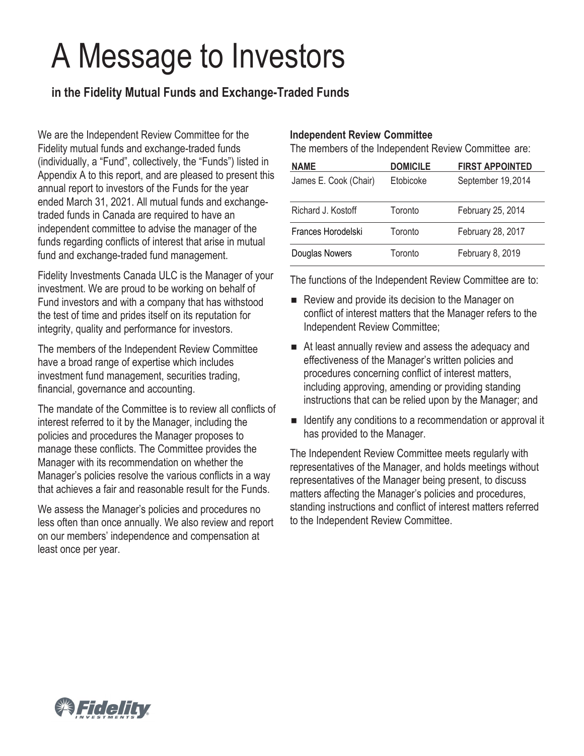# A Message to Investors

# **in the Fidelity Mutual Funds and Exchange-Traded Funds**

We are the Independent Review Committee for the Fidelity mutual funds and exchange-traded funds (individually, a "Fund", collectively, the "Funds") listed in Appendix A to this report, and are pleased to present this annual report to investors of the Funds for the year ended March 31, 2021. All mutual funds and exchangetraded funds in Canada are required to have an independent committee to advise the manager of the funds regarding conflicts of interest that arise in mutual fund and exchange-traded fund management.

Fidelity Investments Canada ULC is the Manager of your investment. We are proud to be working on behalf of Fund investors and with a company that has withstood the test of time and prides itself on its reputation for integrity, quality and performance for investors.

The members of the Independent Review Committee have a broad range of expertise which includes investment fund management, securities trading, financial, governance and accounting.

The mandate of the Committee is to review all conflicts of interest referred to it by the Manager, including the policies and procedures the Manager proposes to manage these conflicts. The Committee provides the Manager with its recommendation on whether the Manager's policies resolve the various conflicts in a way that achieves a fair and reasonable result for the Funds.

We assess the Manager's policies and procedures no less often than once annually. We also review and report on our members' independence and compensation at least once per year.

#### **Independent Review Committee**

The members of the Independent Review Committee are:

| <b>NAME</b>           | <b>DOMICILE</b> | <b>FIRST APPOINTED</b> |
|-----------------------|-----------------|------------------------|
| James E. Cook (Chair) | Etobicoke       | September 19,2014      |
|                       |                 |                        |
| Richard J. Kostoff    | Toronto         | February 25, 2014      |
| Frances Horodelski    | Toronto         | February 28, 2017      |
| Douglas Nowers        | Toronto         | February 8, 2019       |

The functions of the Independent Review Committee are to:

- Review and provide its decision to the Manager on conflict of interest matters that the Manager refers to the Independent Review Committee;
- At least annually review and assess the adequacy and effectiveness of the Manager's written policies and procedures concerning conflict of interest matters, including approving, amending or providing standing instructions that can be relied upon by the Manager; and
- Identify any conditions to a recommendation or approval it has provided to the Manager.

The Independent Review Committee meets regularly with representatives of the Manager, and holds meetings without representatives of the Manager being present, to discuss matters affecting the Manager's policies and procedures, standing instructions and conflict of interest matters referred to the Independent Review Committee.

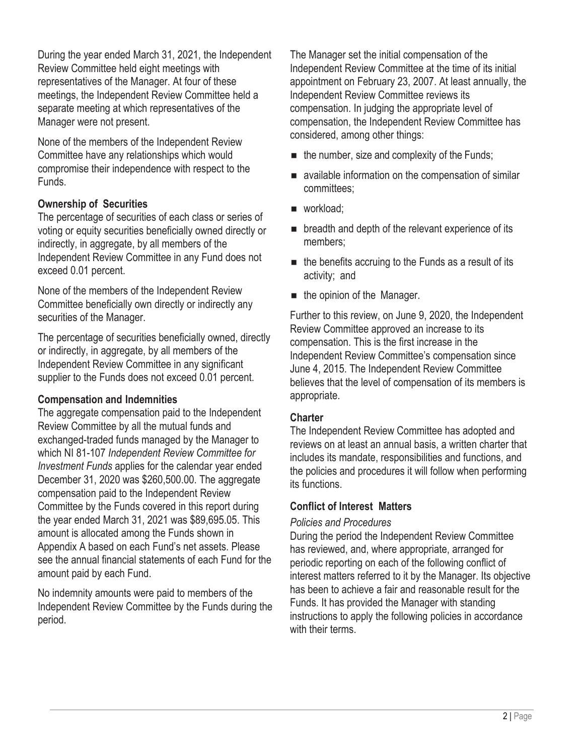During the year ended March 31, 2021, the Independent Review Committee held eight meetings with representatives of the Manager. At four of these meetings, the Independent Review Committee held a separate meeting at which representatives of the Manager were not present.

None of the members of the Independent Review Committee have any relationships which would compromise their independence with respect to the Funds.

## **Ownership of Securities**

The percentage of securities of each class or series of voting or equity securities beneficially owned directly or indirectly, in aggregate, by all members of the Independent Review Committee in any Fund does not exceed 0.01 percent.

None of the members of the Independent Review Committee beneficially own directly or indirectly any securities of the Manager.

The percentage of securities beneficially owned, directly or indirectly, in aggregate, by all members of the Independent Review Committee in any significant supplier to the Funds does not exceed 0.01 percent.

## **Compensation and Indemnities**

The aggregate compensation paid to the Independent Review Committee by all the mutual funds and exchanged-traded funds managed by the Manager to which NI 81-107 *Independent Review Committee for Investment Funds* applies for the calendar year ended December 31, 2020 was \$260,500.00. The aggregate compensation paid to the Independent Review Committee by the Funds covered in this report during the year ended March 31, 2021 was \$89,695.05. This amount is allocated among the Funds shown in Appendix A based on each Fund's net assets. Please see the annual financial statements of each Fund for the amount paid by each Fund.

No indemnity amounts were paid to members of the Independent Review Committee by the Funds during the period.

The Manager set the initial compensation of the Independent Review Committee at the time of its initial appointment on February 23, 2007. At least annually, the Independent Review Committee reviews its compensation. In judging the appropriate level of compensation, the Independent Review Committee has considered, among other things:

- $\blacksquare$  the number, size and complexity of the Funds;
- available information on the compensation of similar committees;
- workload:
- **EXECUTE:** breadth and depth of the relevant experience of its members;
- $\blacksquare$  the benefits accruing to the Funds as a result of its activity; and
- $\blacksquare$  the opinion of the Manager.

Further to this review, on June 9, 2020, the Independent Review Committee approved an increase to its compensation. This is the first increase in the Independent Review Committee's compensation since June 4, 2015. The Independent Review Committee believes that the level of compensation of its members is appropriate.

# **Charter**

The Independent Review Committee has adopted and reviews on at least an annual basis, a written charter that includes its mandate, responsibilities and functions, and the policies and procedures it will follow when performing its functions.

# **Conflict of Interest Matters**

## *Policies and Procedures*

During the period the Independent Review Committee has reviewed, and, where appropriate, arranged for periodic reporting on each of the following conflict of interest matters referred to it by the Manager. Its objective has been to achieve a fair and reasonable result for the Funds. It has provided the Manager with standing instructions to apply the following policies in accordance with their terms.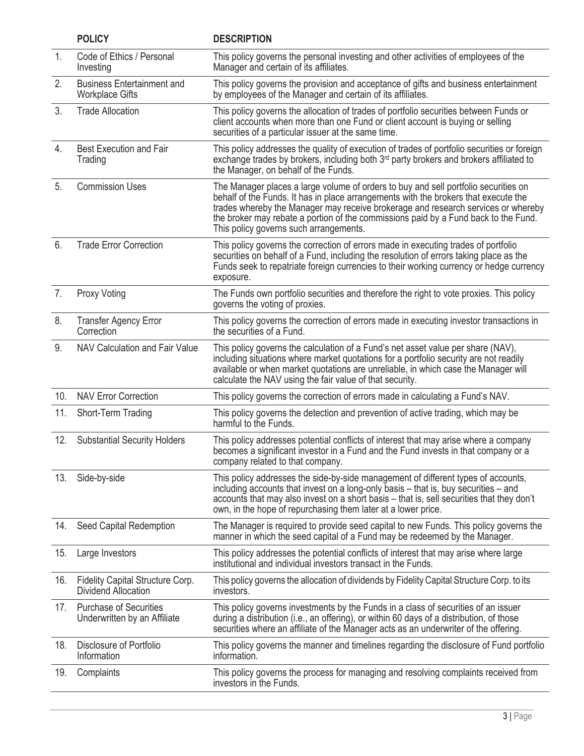|     | <b>POLICY</b>                                                 | <b>DESCRIPTION</b>                                                                                                                                                                                                                                                                                                                                                                               |
|-----|---------------------------------------------------------------|--------------------------------------------------------------------------------------------------------------------------------------------------------------------------------------------------------------------------------------------------------------------------------------------------------------------------------------------------------------------------------------------------|
| 1.  | Code of Ethics / Personal<br>Investing                        | This policy governs the personal investing and other activities of employees of the<br>Manager and certain of its affiliates.                                                                                                                                                                                                                                                                    |
| 2.  | <b>Business Entertainment and</b><br><b>Workplace Gifts</b>   | This policy governs the provision and acceptance of gifts and business entertainment<br>by employees of the Manager and certain of its affiliates.                                                                                                                                                                                                                                               |
| 3.  | <b>Trade Allocation</b>                                       | This policy governs the allocation of trades of portfolio securities between Funds or<br>client accounts when more than one Fund or client account is buying or selling<br>securities of a particular issuer at the same time.                                                                                                                                                                   |
| 4.  | <b>Best Execution and Fair</b><br>Trading                     | This policy addresses the quality of execution of trades of portfolio securities or foreign<br>exchange trades by brokers, including both 3rd party brokers and brokers affiliated to<br>the Manager, on behalf of the Funds.                                                                                                                                                                    |
| 5.  | <b>Commission Uses</b>                                        | The Manager places a large volume of orders to buy and sell portfolio securities on<br>behalf of the Funds. It has in place arrangements with the brokers that execute the<br>trades whereby the Manager may receive brokerage and research services or whereby<br>the broker may rebate a portion of the commissions paid by a Fund back to the Fund.<br>This policy governs such arrangements. |
| 6.  | <b>Trade Error Correction</b>                                 | This policy governs the correction of errors made in executing trades of portfolio<br>securities on behalf of a Fund, including the resolution of errors taking place as the<br>Funds seek to repatriate foreign currencies to their working currency or hedge currency<br>exposure.                                                                                                             |
| 7.  | Proxy Voting                                                  | The Funds own portfolio securities and therefore the right to vote proxies. This policy<br>governs the voting of proxies.                                                                                                                                                                                                                                                                        |
| 8.  | <b>Transfer Agency Error</b><br>Correction                    | This policy governs the correction of errors made in executing investor transactions in<br>the securities of a Fund.                                                                                                                                                                                                                                                                             |
| 9.  | NAV Calculation and Fair Value                                | This policy governs the calculation of a Fund's net asset value per share (NAV),<br>including situations where market quotations for a portfolio security are not readily<br>available or when market quotations are unreliable, in which case the Manager will<br>calculate the NAV using the fair value of that security.                                                                      |
| 10. | <b>NAV Error Correction</b>                                   | This policy governs the correction of errors made in calculating a Fund's NAV.                                                                                                                                                                                                                                                                                                                   |
| 11. | Short-Term Trading                                            | This policy governs the detection and prevention of active trading, which may be<br>harmful to the Funds.                                                                                                                                                                                                                                                                                        |
| 12. | <b>Substantial Security Holders</b>                           | This policy addresses potential conflicts of interest that may arise where a company<br>becomes a significant investor in a Fund and the Fund invests in that company or a<br>company related to that company.                                                                                                                                                                                   |
| 13. | Side-by-side                                                  | This policy addresses the side-by-side management of different types of accounts,<br>including accounts that invest on a long-only basis – that is, buy securities – and<br>accounts that may also invest on a short basis - that is, sell securities that they don't<br>own, in the hope of repurchasing them later at a lower price.                                                           |
| 14. | Seed Capital Redemption                                       | The Manager is required to provide seed capital to new Funds. This policy governs the<br>manner in which the seed capital of a Fund may be redeemed by the Manager.                                                                                                                                                                                                                              |
| 15. | Large Investors                                               | This policy addresses the potential conflicts of interest that may arise where large<br>institutional and individual investors transact in the Funds.                                                                                                                                                                                                                                            |
| 16. | Fidelity Capital Structure Corp.<br>Dividend Allocation       | This policy governs the allocation of dividends by Fidelity Capital Structure Corp. to its<br>investors.                                                                                                                                                                                                                                                                                         |
| 17. | <b>Purchase of Securities</b><br>Underwritten by an Affiliate | This policy governs investments by the Funds in a class of securities of an issuer<br>during a distribution (i.e., an offering), or within 60 days of a distribution, of those<br>securities where an affiliate of the Manager acts as an underwriter of the offering.                                                                                                                           |
| 18. | Disclosure of Portfolio<br>Information                        | This policy governs the manner and timelines regarding the disclosure of Fund portfolio<br>information.                                                                                                                                                                                                                                                                                          |
| 19. | Complaints                                                    | This policy governs the process for managing and resolving complaints received from<br>investors in the Funds.                                                                                                                                                                                                                                                                                   |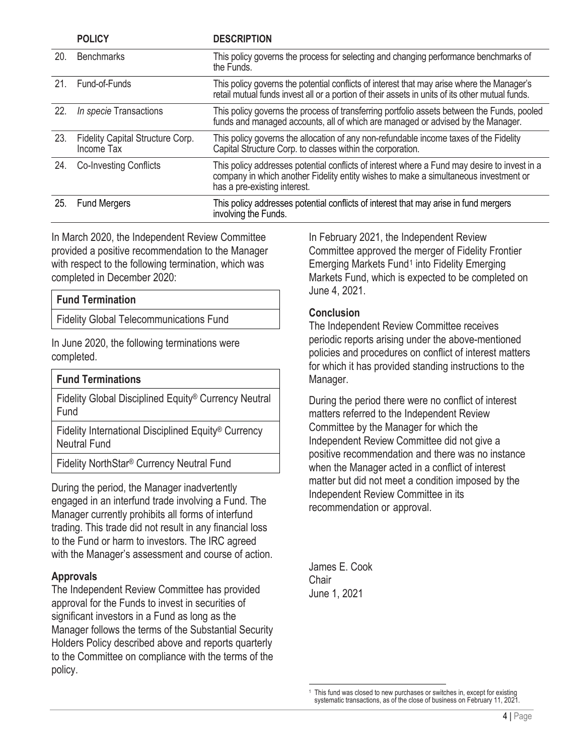|     | <b>POLICY</b>                                  | <b>DESCRIPTION</b>                                                                                                                                                                                                |
|-----|------------------------------------------------|-------------------------------------------------------------------------------------------------------------------------------------------------------------------------------------------------------------------|
| 20. | <b>Benchmarks</b>                              | This policy governs the process for selecting and changing performance benchmarks of<br>the Funds.                                                                                                                |
| 21. | Fund-of-Funds                                  | This policy governs the potential conflicts of interest that may arise where the Manager's<br>retail mutual funds invest all or a portion of their assets in units of its other mutual funds.                     |
| 22. | In specie Transactions                         | This policy governs the process of transferring portfolio assets between the Funds, pooled<br>funds and managed accounts, all of which are managed or advised by the Manager.                                     |
| 23. | Fidelity Capital Structure Corp.<br>Income Tax | This policy governs the allocation of any non-refundable income taxes of the Fidelity<br>Capital Structure Corp. to classes within the corporation.                                                               |
| 24. | <b>Co-Investing Conflicts</b>                  | This policy addresses potential conflicts of interest where a Fund may desire to invest in a company in which another Fidelity entity wishes to make a simultaneous investment or<br>has a pre-existing interest. |
| 25. | <b>Fund Mergers</b>                            | This policy addresses potential conflicts of interest that may arise in fund mergers<br>involving the Funds.                                                                                                      |

In March 2020, the Independent Review Committee provided a positive recommendation to the Manager with respect to the following termination, which was completed in December 2020:

# **Fund Termination**

Fidelity Global Telecommunications Fund

In June 2020, the following terminations were completed.

| <b>Fund Terminations</b>                                                 |
|--------------------------------------------------------------------------|
| Fidelity Global Disciplined Equity <sup>®</sup> Currency Neutral<br>Fund |
| Fidelity International Disciplined Equity <sup>®</sup> Currency          |

Neutral Fund

Fidelity NorthStar® Currency Neutral Fund

During the period, the Manager inadvertently engaged in an interfund trade involving a Fund. The Manager currently prohibits all forms of interfund trading. This trade did not result in any financial loss to the Fund or harm to investors. The IRC agreed with the Manager's assessment and course of action.

#### **Approvals**

<span id="page-3-0"></span>The Independent Review Committee has provided approval for the Funds to invest in securities of significant investors in a Fund as long as the Manager follows the terms of the Substantial Security Holders Policy described above and reports quarterly to the Committee on compliance with the terms of the policy.

In February 2021, the Independent Review Committee approved the merger of Fidelity Frontier Emerging Markets Fund<sup>1</sup> into Fidelity Emerging Markets Fund, which is expected to be completed on June 4, 2021.

#### **Conclusion**

The Independent Review Committee receives periodic reports arising under the above-mentioned policies and procedures on conflict of interest matters for which it has provided standing instructions to the Manager.

During the period there were no conflict of interest matters referred to the Independent Review Committee by the Manager for which the Independent Review Committee did not give a positive recommendation and there was no instance when the Manager acted in a conflict of interest matter but did not meet a condition imposed by the Independent Review Committee in its recommendation or approval.

James E. Cook Chair June 1, 2021

This fund was closed to new purchases or switches in, except for existing systematic transactions, as of the close of business on February 11, 2021.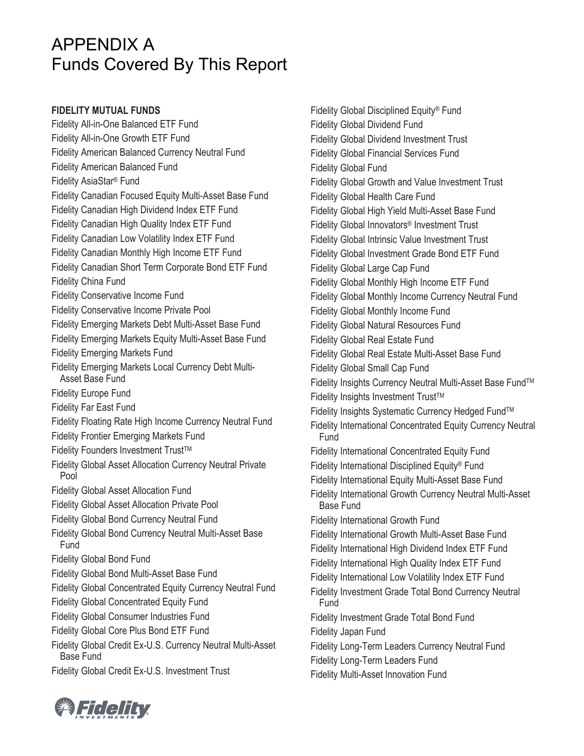# APPENDIX A Funds Covered By This Report

#### **FIDELITY MUTUAL FUNDS**

Fidelity All-in-One Balanced ETF Fund Fidelity All-in-One Growth ETF Fund Fidelity American Balanced Currency Neutral Fund Fidelity American Balanced Fund Fidelity AsiaStar® Fund Fidelity Canadian Focused Equity Multi-Asset Base Fund Fidelity Canadian High Dividend Index ETF Fund Fidelity Canadian High Quality Index ETF Fund Fidelity Canadian Low Volatility Index ETF Fund Fidelity Canadian Monthly High Income ETF Fund Fidelity Canadian Short Term Corporate Bond ETF Fund Fidelity China Fund Fidelity Conservative Income Fund Fidelity Conservative Income Private Pool Fidelity Emerging Markets Debt Multi-Asset Base Fund Fidelity Emerging Markets Equity Multi-Asset Base Fund Fidelity Emerging Markets Fund Fidelity Emerging Markets Local Currency Debt Multi-Asset Base Fund Fidelity Europe Fund Fidelity Far East Fund Fidelity Floating Rate High Income Currency Neutral Fund Fidelity Frontier Emerging Markets Fund Fidelity Founders Investment Trust™ Fidelity Global Asset Allocation Currency Neutral Private Pool Fidelity Global Asset Allocation Fund Fidelity Global Asset Allocation Private Pool Fidelity Global Bond Currency Neutral Fund Fidelity Global Bond Currency Neutral Multi-Asset Base Fund Fidelity Global Bond Fund Fidelity Global Bond Multi-Asset Base Fund Fidelity Global Concentrated Equity Currency Neutral Fund Fidelity Global Concentrated Equity Fund Fidelity Global Consumer Industries Fund Fidelity Global Core Plus Bond ETF Fund Fidelity Global Credit Ex-U.S. Currency Neutral Multi-Asset Base Fund Fidelity Global Credit Ex-U.S. Investment Trust

Fidelity Global Disciplined Equity® Fund Fidelity Global Dividend Fund Fidelity Global Dividend Investment Trust Fidelity Global Financial Services Fund Fidelity Global Fund Fidelity Global Growth and Value Investment Trust Fidelity Global Health Care Fund Fidelity Global High Yield Multi-Asset Base Fund Fidelity Global Innovators® Investment Trust Fidelity Global Intrinsic Value Investment Trust Fidelity Global Investment Grade Bond ETF Fund Fidelity Global Large Cap Fund Fidelity Global Monthly High Income ETF Fund Fidelity Global Monthly Income Currency Neutral Fund Fidelity Global Monthly Income Fund Fidelity Global Natural Resources Fund Fidelity Global Real Estate Fund Fidelity Global Real Estate Multi-Asset Base Fund Fidelity Global Small Cap Fund Fidelity Insights Currency Neutral Multi-Asset Base Fund™ Fidelity Insights Investment Trust™ Fidelity Insights Systematic Currency Hedged Fund™ Fidelity International Concentrated Equity Currency Neutral Fund Fidelity International Concentrated Equity Fund Fidelity International Disciplined Equity® Fund Fidelity International Equity Multi-Asset Base Fund Fidelity International Growth Currency Neutral Multi-Asset Base Fund Fidelity International Growth Fund Fidelity International Growth Multi-Asset Base Fund Fidelity International High Dividend Index ETF Fund Fidelity International High Quality Index ETF Fund Fidelity International Low Volatility Index ETF Fund Fidelity Investment Grade Total Bond Currency Neutral Fund Fidelity Investment Grade Total Bond Fund Fidelity Japan Fund Fidelity Long-Term Leaders Currency Neutral Fund Fidelity Long-Term Leaders Fund Fidelity Multi-Asset Innovation Fund